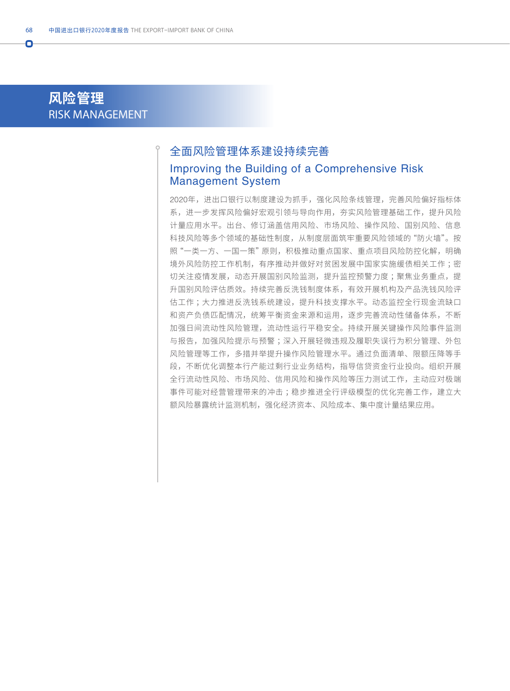# **风险管理** RISK MANAGEMENT

Ō

## 全面风险管理体系建设持续完善

#### Improving the Building of a Comprehensive Risk Management System

2020年,进出口银行以制度建设为抓手,强化风险条线管理,完善风险偏好指标体 系,进一步发挥风险偏好宏观引领与导向作用,夯实风险管理基础工作,提升风险 计量应用水平。出台、修订涵盖信用风险、市场风险、操作风险、国别风险、信息 科技风险等多个领域的基础性制度,从制度层面筑牢重要风险领域的"防火墙"。按 照"一类一方、一国一策"原则,积极推动重点国家、重点项目风险防控化解,明确 境外风险防控工作机制,有序推动并做好对贫困发展中国家实施缓债相关工作 ;密 切关注疫情发展,动态开展国别风险监测,提升监控预警力度;聚焦业务重点,提 升国别风险评估质效。持续完善反洗钱制度体系,有效开展机构及产品洗钱风险评 估工作 ;大力推进反洗钱系统建设,提升科技支撑水平。动态监控全行现金流缺口 和资产负债匹配情况,统筹平衡资金来源和运用,逐步完善流动性储备体系,不断 加强日间流动性风险管理,流动性运行平稳安全。持续开展关键操作风险事件监测 与报告,加强风险提示与预警 ;深入开展轻微违规及履职失误行为积分管理、外包 风险管理等工作,多措并举提升操作风险管理水平。通过负面清单、限额压降等手 段,不断优化调整本行产能过剩行业业务结构,指导信贷资金行业投向。组织开展 全行流动性风险、市场风险、信用风险和操作风险等压力测试工作,主动应对极端 事件可能对经营管理带来的冲击;稳步推进全行评级模型的优化完善工作,建立大 额风险暴露统计监测机制,强化经济资本、风险成本、集中度计量结果应用。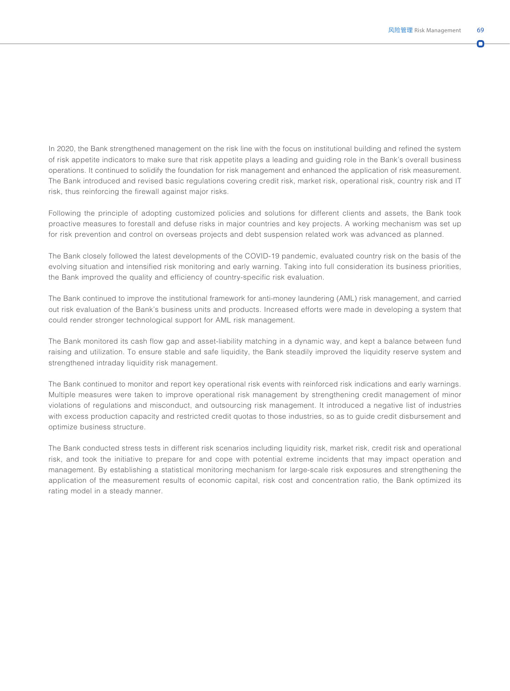ŋ

In 2020, the Bank strengthened management on the risk line with the focus on institutional building and refined the system of risk appetite indicators to make sure that risk appetite plays a leading and guiding role in the Bank's overall business operations. It continued to solidify the foundation for risk management and enhanced the application of risk measurement. The Bank introduced and revised basic regulations covering credit risk, market risk, operational risk, country risk and IT risk, thus reinforcing the firewall against major risks.

Following the principle of adopting customized policies and solutions for different clients and assets, the Bank took proactive measures to forestall and defuse risks in major countries and key projects. A working mechanism was set up for risk prevention and control on overseas projects and debt suspension related work was advanced as planned.

The Bank closely followed the latest developments of the COVID-19 pandemic, evaluated country risk on the basis of the evolving situation and intensified risk monitoring and early warning. Taking into full consideration its business priorities, the Bank improved the quality and efficiency of country-specific risk evaluation.

The Bank continued to improve the institutional framework for anti-money laundering (AML) risk management, and carried out risk evaluation of the Bank's business units and products. Increased efforts were made in developing a system that could render stronger technological support for AML risk management.

The Bank monitored its cash flow gap and asset-liability matching in a dynamic way, and kept a balance between fund raising and utilization. To ensure stable and safe liquidity, the Bank steadily improved the liquidity reserve system and strengthened intraday liquidity risk management.

The Bank continued to monitor and report key operational risk events with reinforced risk indications and early warnings. Multiple measures were taken to improve operational risk management by strengthening credit management of minor violations of regulations and misconduct, and outsourcing risk management. It introduced a negative list of industries with excess production capacity and restricted credit quotas to those industries, so as to guide credit disbursement and optimize business structure.

The Bank conducted stress tests in different risk scenarios including liquidity risk, market risk, credit risk and operational risk, and took the initiative to prepare for and cope with potential extreme incidents that may impact operation and management. By establishing a statistical monitoring mechanism for large-scale risk exposures and strengthening the application of the measurement results of economic capital, risk cost and concentration ratio, the Bank optimized its rating model in a steady manner.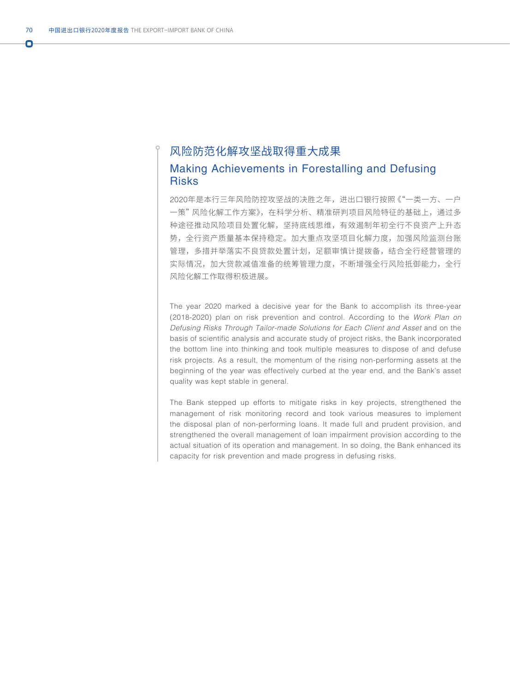### 风险防范化解攻坚战取得重大成果 Making Achievements in Forestalling and Defusing **Risks**

2020年是本行三年风险防控攻坚战的决胜之年,进出口银行按照《"一类一方、一户 一策"风险化解工作方案》,在科学分析、精准研判项目风险特征的基础上,通过多 种途径推动风险项目处置化解,坚持底线思维,有效遏制年初全行不良资产上升态 势,全行资产质量基本保持稳定。加大重点攻坚项目化解力度,加强风险监测台账 管理,多措并举落实不良贷款处置计划,足额审慎计提拨备,结合全行经营管理的 实际情况,加大贷款减值准备的统筹管理力度,不断增强全行风险抵御能力,全行 风险化解工作取得积极进展。

The year 2020 marked a decisive year for the Bank to accomplish its three-year (2018-2020) plan on risk prevention and control. According to the *Work Plan on Defusing Risks Through Tailor-made Solutions for Each Client and Asset* and on the basis of scientific analysis and accurate study of project risks, the Bank incorporated the bottom line into thinking and took multiple measures to dispose of and defuse risk projects. As a result, the momentum of the rising non-performing assets at the beginning of the year was effectively curbed at the year end, and the Bank's asset quality was kept stable in general.

The Bank stepped up efforts to mitigate risks in key projects, strengthened the management of risk monitoring record and took various measures to implement the disposal plan of non-performing loans. It made full and prudent provision, and strengthened the overall management of loan impairment provision according to the actual situation of its operation and management. In so doing, the Bank enhanced its capacity for risk prevention and made progress in defusing risks.

Ō